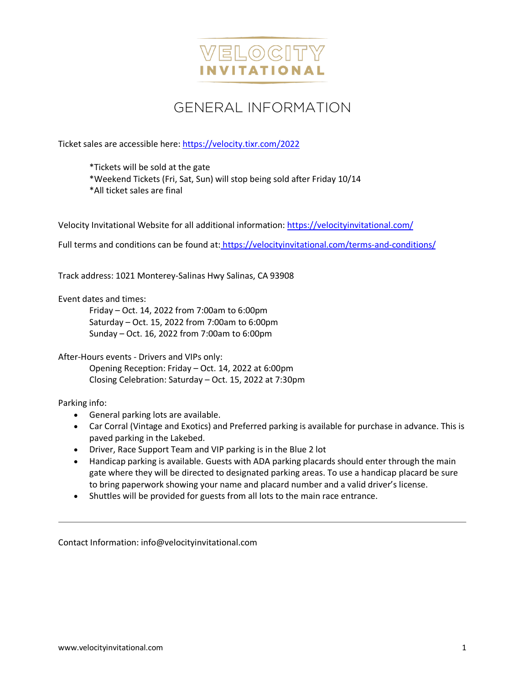

# GENERAL INFORMATION

Ticket sales are accessible here[: https://velocity.tixr.com/2022](https://velocity.tixr.com/2022)

\*Tickets will be sold at the gate

\*Weekend Tickets (Fri, Sat, Sun) will stop being sold after Friday 10/14

\*All ticket sales are final

Velocity Invitational Website for all additional information: <https://velocityinvitational.com/>

Full terms and conditions can be found at: https://velocityinvitational.com/terms-and-conditions/

Track address: 1021 Monterey-Salinas Hwy Salinas, CA 93908

Event dates and times:

Friday – Oct. 14, 2022 from 7:00am to 6:00pm Saturday – Oct. 15, 2022 from 7:00am to 6:00pm Sunday – Oct. 16, 2022 from 7:00am to 6:00pm

After-Hours events - Drivers and VIPs only:

Opening Reception: Friday – Oct. 14, 2022 at 6:00pm Closing Celebration: Saturday – Oct. 15, 2022 at 7:30pm

Parking info:

- General parking lots are available.
- Car Corral (Vintage and Exotics) and Preferred parking is available for purchase in advance. This is paved parking in the Lakebed.
- Driver, Race Support Team and VIP parking is in the Blue 2 lot
- Handicap parking is available. Guests with ADA parking placards should enter through the main gate where they will be directed to designated parking areas. To use a handicap placard be sure to bring paperwork showing your name and placard number and a valid driver's license.
- Shuttles will be provided for guests from all lots to the main race entrance.

Contact Information: info@velocityinvitational.com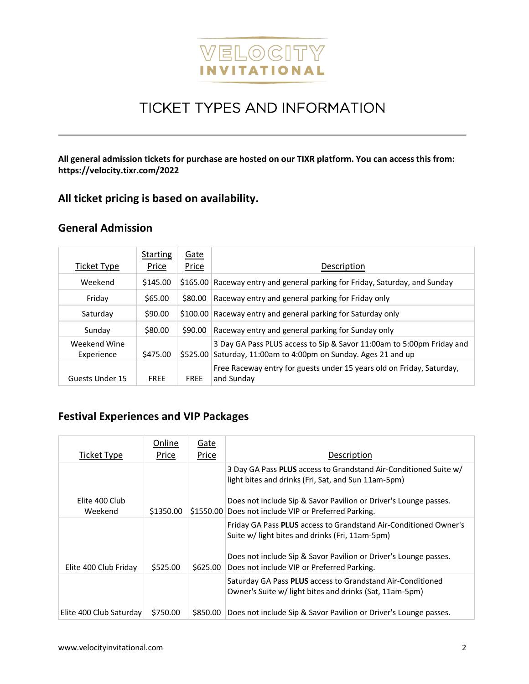

# TICKET TYPES AND INFORMATION

**All general admission tickets for purchase are hosted on our TIXR platform. You can access this from: https://velocity.tixr.com/2022**

### **All ticket pricing is based on availability.**

#### **General Admission**

| Ticket Type                | <b>Starting</b><br>Price | Gate<br>Price | Description                                                                                                                    |  |  |
|----------------------------|--------------------------|---------------|--------------------------------------------------------------------------------------------------------------------------------|--|--|
| Weekend                    | \$145.00                 |               | \$165.00 Raceway entry and general parking for Friday, Saturday, and Sunday                                                    |  |  |
| Friday                     | \$65.00                  | \$80.00       | Raceway entry and general parking for Friday only                                                                              |  |  |
| Saturday                   | \$90.00                  | \$100.00      | Raceway entry and general parking for Saturday only                                                                            |  |  |
| Sunday                     | \$80.00                  | \$90.00       | Raceway entry and general parking for Sunday only                                                                              |  |  |
| Weekend Wine<br>Experience | \$475.00                 | \$525.00      | 3 Day GA Pass PLUS access to Sip & Savor 11:00am to 5:00pm Friday and<br>Saturday, 11:00am to 4:00pm on Sunday. Ages 21 and up |  |  |
| Guests Under 15            | <b>FRFF</b>              | <b>FREE</b>   | Free Raceway entry for guests under 15 years old on Friday, Saturday,<br>and Sunday                                            |  |  |

### **Festival Experiences and VIP Packages**

| Ticket Type               | Online<br>Price | Gate<br>Price | Description                                                                                                              |
|---------------------------|-----------------|---------------|--------------------------------------------------------------------------------------------------------------------------|
|                           |                 |               | 3 Day GA Pass PLUS access to Grandstand Air-Conditioned Suite w/<br>light bites and drinks (Fri, Sat, and Sun 11am-5pm)  |
| Elite 400 Club<br>Weekend | \$1350.00       |               | Does not include Sip & Savor Pavilion or Driver's Lounge passes.<br>\$1550.00 Does not include VIP or Preferred Parking. |
|                           |                 |               | Friday GA Pass PLUS access to Grandstand Air-Conditioned Owner's<br>Suite w/ light bites and drinks (Fri, 11am-5pm)      |
| Elite 400 Club Friday     | \$525.00        | \$625.00      | Does not include Sip & Savor Pavilion or Driver's Lounge passes.<br>Does not include VIP or Preferred Parking.           |
|                           |                 |               | Saturday GA Pass PLUS access to Grandstand Air-Conditioned<br>Owner's Suite w/ light bites and drinks (Sat, 11am-5pm)    |
| Elite 400 Club Saturday   | \$750.00        | S850.00       | Does not include Sip & Savor Pavilion or Driver's Lounge passes.                                                         |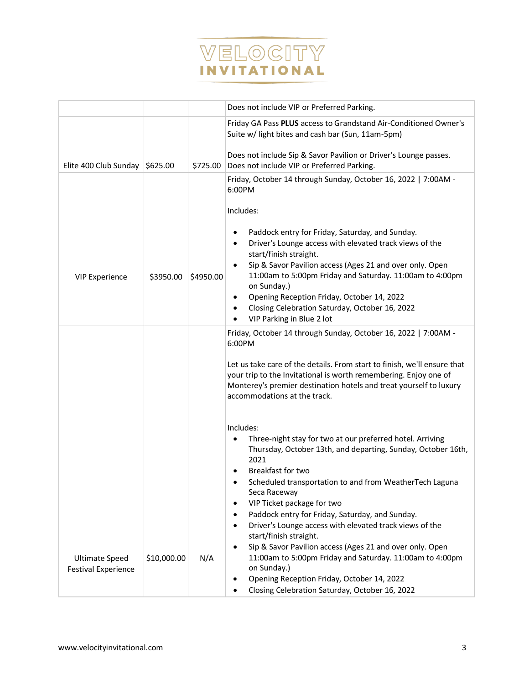

|                                                     |             |           | Does not include VIP or Preferred Parking.                                                                                                                                                                                                         |  |  |
|-----------------------------------------------------|-------------|-----------|----------------------------------------------------------------------------------------------------------------------------------------------------------------------------------------------------------------------------------------------------|--|--|
|                                                     |             |           | Friday GA Pass PLUS access to Grandstand Air-Conditioned Owner's<br>Suite w/ light bites and cash bar (Sun, 11am-5pm)                                                                                                                              |  |  |
| Elite 400 Club Sunday                               | \$625.00    | \$725.00  | Does not include Sip & Savor Pavilion or Driver's Lounge passes.<br>Does not include VIP or Preferred Parking.                                                                                                                                     |  |  |
|                                                     |             |           | Friday, October 14 through Sunday, October 16, 2022   7:00AM -<br>6:00PM                                                                                                                                                                           |  |  |
|                                                     |             |           | Includes:                                                                                                                                                                                                                                          |  |  |
|                                                     |             |           | Paddock entry for Friday, Saturday, and Sunday.<br>Driver's Lounge access with elevated track views of the<br>$\bullet$<br>start/finish straight.                                                                                                  |  |  |
| <b>VIP Experience</b>                               | \$3950.00   | \$4950.00 | Sip & Savor Pavilion access (Ages 21 and over only. Open<br>11:00am to 5:00pm Friday and Saturday. 11:00am to 4:00pm<br>on Sunday.)                                                                                                                |  |  |
|                                                     |             |           | Opening Reception Friday, October 14, 2022<br>٠<br>Closing Celebration Saturday, October 16, 2022<br>VIP Parking in Blue 2 lot                                                                                                                     |  |  |
|                                                     |             |           | Friday, October 14 through Sunday, October 16, 2022   7:00AM -<br>6:00PM                                                                                                                                                                           |  |  |
|                                                     |             |           | Let us take care of the details. From start to finish, we'll ensure that<br>your trip to the Invitational is worth remembering. Enjoy one of<br>Monterey's premier destination hotels and treat yourself to luxury<br>accommodations at the track. |  |  |
|                                                     |             |           | Includes:<br>Three-night stay for two at our preferred hotel. Arriving<br>$\bullet$<br>Thursday, October 13th, and departing, Sunday, October 16th,<br>2021<br><b>Breakfast for two</b>                                                            |  |  |
|                                                     |             |           | Scheduled transportation to and from WeatherTech Laguna<br>Seca Raceway<br>VIP Ticket package for two                                                                                                                                              |  |  |
|                                                     |             |           | Paddock entry for Friday, Saturday, and Sunday.<br>Driver's Lounge access with elevated track views of the                                                                                                                                         |  |  |
|                                                     |             |           | start/finish straight.<br>Sip & Savor Pavilion access (Ages 21 and over only. Open                                                                                                                                                                 |  |  |
| <b>Ultimate Speed</b><br><b>Festival Experience</b> | \$10,000.00 | N/A       | 11:00am to 5:00pm Friday and Saturday. 11:00am to 4:00pm<br>on Sunday.)                                                                                                                                                                            |  |  |
|                                                     |             |           | Opening Reception Friday, October 14, 2022<br>Closing Celebration Saturday, October 16, 2022                                                                                                                                                       |  |  |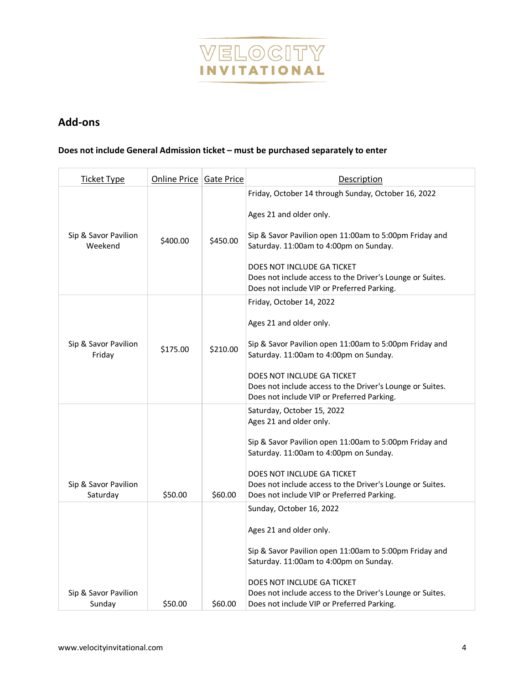

## **Add-ons**

#### **Does not include General Admission ticket – must be purchased separately to enter**

| <b>Ticket Type</b>               | Online Price Gate Price |          | <b>Description</b>                                                                                                                                                                                                                                                                                                          |
|----------------------------------|-------------------------|----------|-----------------------------------------------------------------------------------------------------------------------------------------------------------------------------------------------------------------------------------------------------------------------------------------------------------------------------|
| Sip & Savor Pavilion<br>Weekend  | \$400.00                | \$450.00 | Friday, October 14 through Sunday, October 16, 2022<br>Ages 21 and older only.<br>Sip & Savor Pavilion open 11:00am to 5:00pm Friday and<br>Saturday. 11:00am to 4:00pm on Sunday.<br>DOES NOT INCLUDE GA TICKET<br>Does not include access to the Driver's Lounge or Suites.<br>Does not include VIP or Preferred Parking. |
| Sip & Savor Pavilion<br>Friday   | \$175.00                | \$210.00 | Friday, October 14, 2022<br>Ages 21 and older only.<br>Sip & Savor Pavilion open 11:00am to 5:00pm Friday and<br>Saturday. 11:00am to 4:00pm on Sunday.<br>DOES NOT INCLUDE GA TICKET<br>Does not include access to the Driver's Lounge or Suites.<br>Does not include VIP or Preferred Parking.                            |
| Sip & Savor Pavilion<br>Saturday | \$50.00                 | \$60.00  | Saturday, October 15, 2022<br>Ages 21 and older only.<br>Sip & Savor Pavilion open 11:00am to 5:00pm Friday and<br>Saturday. 11:00am to 4:00pm on Sunday.<br>DOES NOT INCLUDE GA TICKET<br>Does not include access to the Driver's Lounge or Suites.<br>Does not include VIP or Preferred Parking.                          |
| Sip & Savor Pavilion<br>Sunday   | \$50.00                 | \$60.00  | Sunday, October 16, 2022<br>Ages 21 and older only.<br>Sip & Savor Pavilion open 11:00am to 5:00pm Friday and<br>Saturday. 11:00am to 4:00pm on Sunday.<br>DOES NOT INCLUDE GA TICKET<br>Does not include access to the Driver's Lounge or Suites.<br>Does not include VIP or Preferred Parking.                            |